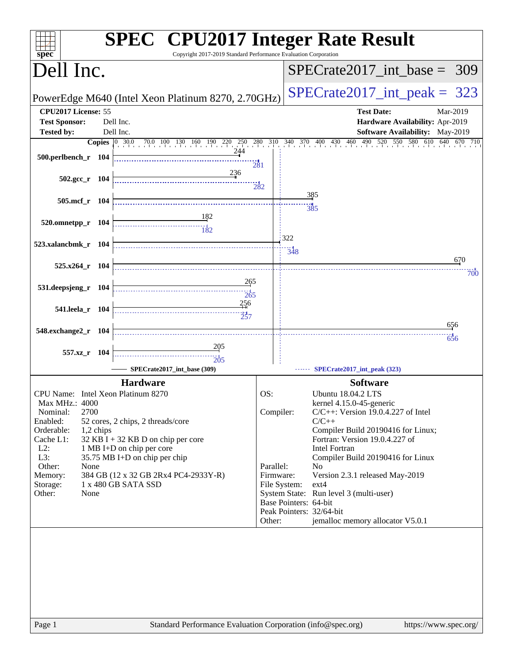| spec <sup>®</sup>                    | <b>SPEC<sup>®</sup> CPU2017 Integer Rate Result</b><br>Copyright 2017-2019 Standard Performance Evaluation Corporation |           |                       |                                                                      |          |
|--------------------------------------|------------------------------------------------------------------------------------------------------------------------|-----------|-----------------------|----------------------------------------------------------------------|----------|
| Dell Inc.                            |                                                                                                                        |           |                       | $SPECTate2017\_int\_base = 309$                                      |          |
|                                      | PowerEdge M640 (Intel Xeon Platinum 8270, 2.70GHz)                                                                     |           |                       | $SPECTate2017\_int\_peak = 323$                                      |          |
| CPU2017 License: 55                  |                                                                                                                        |           |                       | <b>Test Date:</b>                                                    | Mar-2019 |
| <b>Test Sponsor:</b><br>Dell Inc.    |                                                                                                                        |           |                       | Hardware Availability: Apr-2019                                      |          |
| <b>Tested by:</b><br>Dell Inc.       |                                                                                                                        |           |                       | <b>Software Availability:</b> May-2019                               |          |
|                                      | <b>Copies</b> 0 30.0 70.0 100 130 160 190 220 250 280 310 340 370 400 430 460 490 5                                    |           |                       | 550 580 610 640 670 710<br>520                                       |          |
| 500.perlbench_r 104                  |                                                                                                                        |           |                       |                                                                      |          |
|                                      | <b>281</b>                                                                                                             |           |                       |                                                                      |          |
| $502.\text{gcc r}$ 104               | 236                                                                                                                    |           |                       |                                                                      |          |
|                                      |                                                                                                                        | 282       |                       |                                                                      |          |
| 505.mcf_r 104                        |                                                                                                                        |           |                       | 385                                                                  |          |
|                                      |                                                                                                                        |           |                       | -- 1<br>385                                                          |          |
| 520.omnetpp_r 104                    |                                                                                                                        |           |                       |                                                                      |          |
|                                      |                                                                                                                        |           |                       |                                                                      |          |
| 523.xalancbmk_r 104                  |                                                                                                                        |           | 322                   |                                                                      |          |
|                                      |                                                                                                                        |           | 348                   |                                                                      | 670      |
| 525.x264_r 104                       |                                                                                                                        |           |                       |                                                                      |          |
|                                      | 265                                                                                                                    |           |                       |                                                                      | 700      |
| 531.deepsjeng_r 104                  |                                                                                                                        |           |                       |                                                                      |          |
|                                      | 265<br>256                                                                                                             |           |                       |                                                                      |          |
| 541.leela_r 104                      | 257                                                                                                                    |           |                       |                                                                      |          |
|                                      |                                                                                                                        |           |                       |                                                                      | 656      |
| 548.exchange2_r 104                  |                                                                                                                        |           |                       |                                                                      | 656      |
|                                      | <u>205</u>                                                                                                             |           |                       |                                                                      |          |
| 557.xz_r 104                         | $\frac{1}{205}$                                                                                                        |           |                       |                                                                      |          |
|                                      | SPECrate2017_int_base (309)                                                                                            |           |                       | SPECrate2017_int_peak (323)                                          |          |
|                                      | <b>Hardware</b>                                                                                                        |           |                       | <b>Software</b>                                                      |          |
| CPU Name: Intel Xeon Platinum 8270   |                                                                                                                        | OS:       |                       | <b>Ubuntu 18.04.2 LTS</b>                                            |          |
| Max MHz.: 4000                       |                                                                                                                        |           |                       | kernel 4.15.0-45-generic                                             |          |
| 2700<br>Nominal:                     |                                                                                                                        | Compiler: |                       | $C/C++$ : Version 19.0.4.227 of Intel                                |          |
| Enabled:                             | 52 cores, 2 chips, 2 threads/core                                                                                      |           |                       | $C/C++$                                                              |          |
| Orderable:<br>1,2 chips<br>Cache L1: | $32$ KB I + 32 KB D on chip per core                                                                                   |           |                       | Compiler Build 20190416 for Linux;<br>Fortran: Version 19.0.4.227 of |          |
| $L2$ :<br>1 MB I+D on chip per core  |                                                                                                                        |           |                       | Intel Fortran                                                        |          |
| L3:                                  | 35.75 MB I+D on chip per chip                                                                                          |           |                       | Compiler Build 20190416 for Linux                                    |          |
| Other:<br>None                       |                                                                                                                        | Parallel: |                       | N <sub>0</sub>                                                       |          |
| Memory:<br>1 x 480 GB SATA SSD       | 384 GB (12 x 32 GB 2Rx4 PC4-2933Y-R)                                                                                   | Firmware: |                       | Version 2.3.1 released May-2019<br>$ext{4}$                          |          |
| Storage:<br>Other:<br>None           |                                                                                                                        |           | File System:          | System State: Run level 3 (multi-user)                               |          |
|                                      |                                                                                                                        |           | Base Pointers: 64-bit |                                                                      |          |
|                                      |                                                                                                                        |           |                       | Peak Pointers: 32/64-bit                                             |          |
|                                      |                                                                                                                        | Other:    |                       | jemalloc memory allocator V5.0.1                                     |          |
|                                      |                                                                                                                        |           |                       |                                                                      |          |
|                                      |                                                                                                                        |           |                       |                                                                      |          |
|                                      |                                                                                                                        |           |                       |                                                                      |          |
|                                      |                                                                                                                        |           |                       |                                                                      |          |
|                                      |                                                                                                                        |           |                       |                                                                      |          |
|                                      |                                                                                                                        |           |                       |                                                                      |          |
|                                      |                                                                                                                        |           |                       |                                                                      |          |
|                                      |                                                                                                                        |           |                       |                                                                      |          |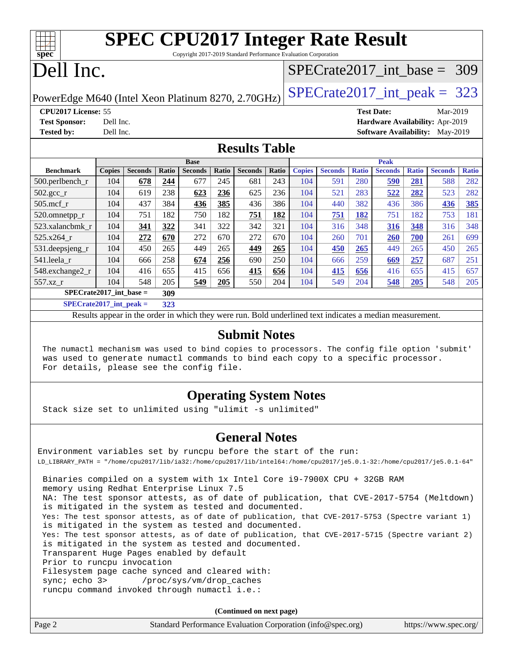| <b>SPEC CPU2017 Integer Rate Result</b><br>$Spec^*$<br>Copyright 2017-2019 Standard Performance Evaluation Corporation |                                                    |                                        |  |  |  |  |  |  |  |  |
|------------------------------------------------------------------------------------------------------------------------|----------------------------------------------------|----------------------------------------|--|--|--|--|--|--|--|--|
| Dell Inc.                                                                                                              |                                                    | $SPECrate2017\_int\_base = 309$        |  |  |  |  |  |  |  |  |
|                                                                                                                        | PowerEdge M640 (Intel Xeon Platinum 8270, 2.70GHz) | $SPECTate2017\_int\_peak = 323$        |  |  |  |  |  |  |  |  |
| <b>CPU2017 License: 55</b>                                                                                             |                                                    | <b>Test Date:</b><br>Mar-2019          |  |  |  |  |  |  |  |  |
| <b>Test Sponsor:</b>                                                                                                   | Dell Inc.                                          | Hardware Availability: Apr-2019        |  |  |  |  |  |  |  |  |
| <b>Tested by:</b>                                                                                                      | Dell Inc.                                          | <b>Software Availability:</b> May-2019 |  |  |  |  |  |  |  |  |
|                                                                                                                        | <b>Results Table</b>                               |                                        |  |  |  |  |  |  |  |  |

|                           | <b>Base</b>   |                |       |                |       | <b>Peak</b>    |       |               |                |              |                |              |                |              |
|---------------------------|---------------|----------------|-------|----------------|-------|----------------|-------|---------------|----------------|--------------|----------------|--------------|----------------|--------------|
| <b>Benchmark</b>          | <b>Copies</b> | <b>Seconds</b> | Ratio | <b>Seconds</b> | Ratio | <b>Seconds</b> | Ratio | <b>Copies</b> | <b>Seconds</b> | <b>Ratio</b> | <b>Seconds</b> | <b>Ratio</b> | <b>Seconds</b> | <b>Ratio</b> |
| $500$ .perlbench r        | 104           | 678            | 244   | 677            | 245   | 681            | 243   | 104           | 591            | 280          | 590            | 281          | 588            | 282          |
| $502.\text{gcc\_r}$       | 104           | 619            | 238   | 623            | 236   | 625            | 236   | 104           | 521            | 283          | 522            | 282          | 523            | 282          |
| $505$ .mcf r              | 104           | 437            | 384   | 436            | 385   | 436            | 386   | 104           | 440            | 382          | 436            | 386          | 436            | 385          |
| 520.omnetpp_r             | 104           | 751            | 182   | 750            | 182   | 751            | 182   | 104           | 751            | 182          | 751            | 182          | 753            | 181          |
| 523.xalancbmk r           | 104           | <u>341</u>     | 322   | 341            | 322   | 342            | 321   | 104           | 316            | 348          | 316            | 348          | 316            | 348          |
| $525.x264$ r              | 104           | 272            | 670   | 272            | 670   | 272            | 670   | 104           | 260            | 701          | <b>260</b>     | 700          | 261            | 699          |
| 531.deepsjeng_r           | 104           | 450            | 265   | 449            | 265   | 449            | 265   | 104           | 450            | 265          | 449            | 265          | 450            | 265          |
| 541.leela r               | 104           | 666            | 258   | 674            | 256   | 690            | 250   | 104           | 666            | 259          | 669            | 257          | 687            | 251          |
| 548.exchange2_r           | 104           | 416            | 655   | 415            | 656   | 415            | 656   | 104           | 415            | 656          | 416            | 655          | 415            | 657          |
| 557.xz r                  | 104           | 548            | 205   | 549            | 205   | 550            | 204   | 104           | 549            | 204          | 548            | 205          | 548            | 205          |
| $SPECrate2017$ int base = |               |                | 309   |                |       |                |       |               |                |              |                |              |                |              |

**[SPECrate2017\\_int\\_peak =](http://www.spec.org/auto/cpu2017/Docs/result-fields.html#SPECrate2017intpeak) 323**

Results appear in the [order in which they were run](http://www.spec.org/auto/cpu2017/Docs/result-fields.html#RunOrder). Bold underlined text [indicates a median measurement](http://www.spec.org/auto/cpu2017/Docs/result-fields.html#Median).

#### **[Submit Notes](http://www.spec.org/auto/cpu2017/Docs/result-fields.html#SubmitNotes)**

 The numactl mechanism was used to bind copies to processors. The config file option 'submit' was used to generate numactl commands to bind each copy to a specific processor. For details, please see the config file.

## **[Operating System Notes](http://www.spec.org/auto/cpu2017/Docs/result-fields.html#OperatingSystemNotes)**

Stack size set to unlimited using "ulimit -s unlimited"

### **[General Notes](http://www.spec.org/auto/cpu2017/Docs/result-fields.html#GeneralNotes)**

Environment variables set by runcpu before the start of the run: LD\_LIBRARY\_PATH = "/home/cpu2017/lib/ia32:/home/cpu2017/lib/intel64:/home/cpu2017/je5.0.1-32:/home/cpu2017/je5.0.1-64" Binaries compiled on a system with 1x Intel Core i9-7900X CPU + 32GB RAM memory using Redhat Enterprise Linux 7.5 NA: The test sponsor attests, as of date of publication, that CVE-2017-5754 (Meltdown) is mitigated in the system as tested and documented. Yes: The test sponsor attests, as of date of publication, that CVE-2017-5753 (Spectre variant 1) is mitigated in the system as tested and documented. Yes: The test sponsor attests, as of date of publication, that CVE-2017-5715 (Spectre variant 2) is mitigated in the system as tested and documented. Transparent Huge Pages enabled by default Prior to runcpu invocation Filesystem page cache synced and cleared with: sync; echo 3> /proc/sys/vm/drop\_caches runcpu command invoked through numactl i.e.:

**(Continued on next page)**

| Page 2 | Standard Performance Evaluation Corporation (info@spec.org) | https://www.spec.org/ |
|--------|-------------------------------------------------------------|-----------------------|
|--------|-------------------------------------------------------------|-----------------------|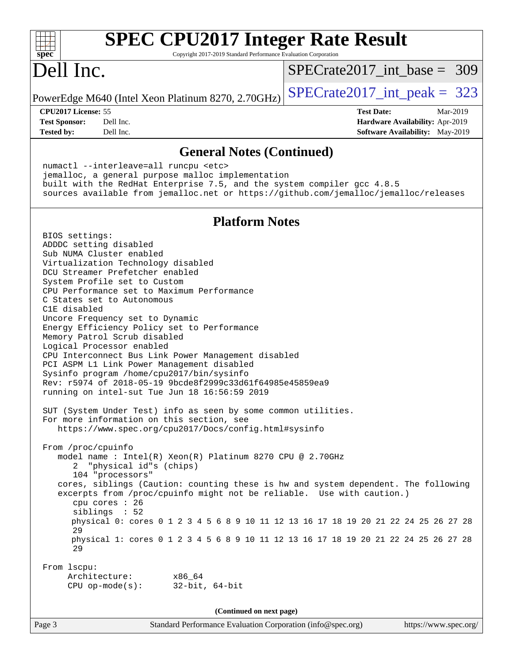| <b>SPEC CPU2017 Integer Rate Result</b><br>Copyright 2017-2019 Standard Performance Evaluation Corporation<br>spec <sup>®</sup>                                                                                                                                                                                                                                                                                                                                                                                                                                                                                                                                                                                                                                                                                                                                  |                                                                  |
|------------------------------------------------------------------------------------------------------------------------------------------------------------------------------------------------------------------------------------------------------------------------------------------------------------------------------------------------------------------------------------------------------------------------------------------------------------------------------------------------------------------------------------------------------------------------------------------------------------------------------------------------------------------------------------------------------------------------------------------------------------------------------------------------------------------------------------------------------------------|------------------------------------------------------------------|
| Dell Inc.                                                                                                                                                                                                                                                                                                                                                                                                                                                                                                                                                                                                                                                                                                                                                                                                                                                        | $SPECrate2017\_int\_base = 309$                                  |
| PowerEdge M640 (Intel Xeon Platinum 8270, 2.70GHz)                                                                                                                                                                                                                                                                                                                                                                                                                                                                                                                                                                                                                                                                                                                                                                                                               | $SPECTate2017\_int\_peak = 323$                                  |
| CPU2017 License: 55<br>Dell Inc.<br><b>Test Sponsor:</b><br>Dell Inc.                                                                                                                                                                                                                                                                                                                                                                                                                                                                                                                                                                                                                                                                                                                                                                                            | <b>Test Date:</b><br>Mar-2019<br>Hardware Availability: Apr-2019 |
| <b>Tested by:</b><br><b>General Notes (Continued)</b>                                                                                                                                                                                                                                                                                                                                                                                                                                                                                                                                                                                                                                                                                                                                                                                                            | <b>Software Availability:</b> May-2019                           |
| numactl --interleave=all runcpu <etc><br/>jemalloc, a general purpose malloc implementation<br/>built with the RedHat Enterprise 7.5, and the system compiler gcc 4.8.5<br/>sources available from jemalloc.net or https://github.com/jemalloc/jemalloc/releases</etc>                                                                                                                                                                                                                                                                                                                                                                                                                                                                                                                                                                                           |                                                                  |
| <b>Platform Notes</b>                                                                                                                                                                                                                                                                                                                                                                                                                                                                                                                                                                                                                                                                                                                                                                                                                                            |                                                                  |
| BIOS settings:<br>ADDDC setting disabled<br>Sub NUMA Cluster enabled<br>Virtualization Technology disabled<br>DCU Streamer Prefetcher enabled<br>System Profile set to Custom<br>CPU Performance set to Maximum Performance<br>C States set to Autonomous<br>C1E disabled<br>Uncore Frequency set to Dynamic<br>Energy Efficiency Policy set to Performance<br>Memory Patrol Scrub disabled<br>Logical Processor enabled<br>CPU Interconnect Bus Link Power Management disabled<br>PCI ASPM L1 Link Power Management disabled<br>Sysinfo program /home/cpu2017/bin/sysinfo<br>Rev: r5974 of 2018-05-19 9bcde8f2999c33d61f64985e45859ea9<br>running on intel-sut Tue Jun 18 16:56:59 2019<br>SUT (System Under Test) info as seen by some common utilities.<br>For more information on this section, see<br>https://www.spec.org/cpu2017/Docs/config.html#sysinfo |                                                                  |
| From /proc/cpuinfo<br>model name: Intel(R) Xeon(R) Platinum 8270 CPU @ 2.70GHz<br>"physical id"s (chips)<br>2<br>104 "processors"<br>cores, siblings (Caution: counting these is hw and system dependent. The following<br>excerpts from /proc/cpuinfo might not be reliable. Use with caution.)<br>cpu cores : 26<br>siblings : 52<br>physical 0: cores 0 1 2 3 4 5 6 8 9 10 11 12 13 16 17 18 19 20 21 22 24 25 26 27 28<br>29<br>physical 1: cores 0 1 2 3 4 5 6 8 9 10 11 12 13 16 17 18 19 20 21 22 24 25 26 27 28<br>29                                                                                                                                                                                                                                                                                                                                    |                                                                  |
| From 1scpu:<br>Architecture:<br>x86_64<br>$CPU$ op-mode(s):<br>$32$ -bit, $64$ -bit                                                                                                                                                                                                                                                                                                                                                                                                                                                                                                                                                                                                                                                                                                                                                                              |                                                                  |
| (Continued on next page)                                                                                                                                                                                                                                                                                                                                                                                                                                                                                                                                                                                                                                                                                                                                                                                                                                         |                                                                  |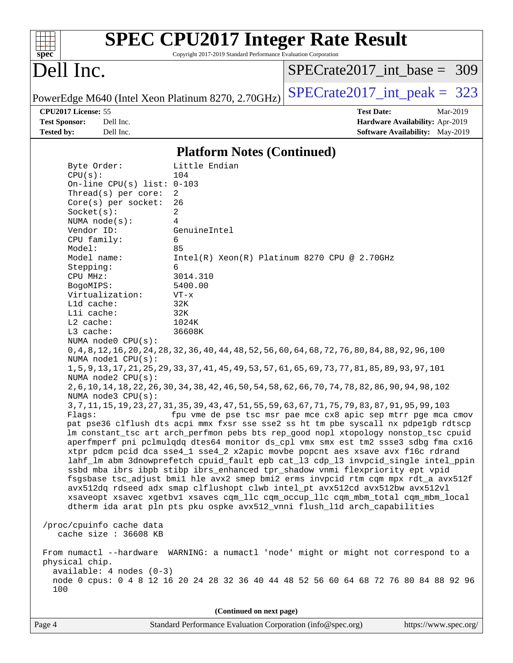| $spec^*$                                                         | <b>SPEC CPU2017 Integer Rate Result</b><br>Copyright 2017-2019 Standard Performance Evaluation Corporation |                                                                                                                                                                                                                                                                                                                                           |
|------------------------------------------------------------------|------------------------------------------------------------------------------------------------------------|-------------------------------------------------------------------------------------------------------------------------------------------------------------------------------------------------------------------------------------------------------------------------------------------------------------------------------------------|
| Dell Inc.                                                        |                                                                                                            | $SPECrate2017\_int\_base = 309$                                                                                                                                                                                                                                                                                                           |
|                                                                  | PowerEdge M640 (Intel Xeon Platinum 8270, 2.70GHz)                                                         | $SPECTate2017\_int\_peak = 323$                                                                                                                                                                                                                                                                                                           |
| CPU2017 License: 55<br><b>Test Sponsor:</b><br><b>Tested by:</b> | Dell Inc.<br>Dell Inc.                                                                                     | <b>Test Date:</b><br>Mar-2019<br>Hardware Availability: Apr-2019<br><b>Software Availability:</b> May-2019                                                                                                                                                                                                                                |
|                                                                  | <b>Platform Notes (Continued)</b>                                                                          |                                                                                                                                                                                                                                                                                                                                           |
| Byte Order:<br>CPU(s):                                           | Little Endian<br>104                                                                                       |                                                                                                                                                                                                                                                                                                                                           |
|                                                                  | On-line CPU(s) list: $0-103$<br>Thread(s) per core:<br>2<br>26<br>$Core(s)$ per socket:                    |                                                                                                                                                                                                                                                                                                                                           |
| Socket(s):<br>NUMA node(s):<br>Vendor ID:                        | 2<br>4<br>GenuineIntel                                                                                     |                                                                                                                                                                                                                                                                                                                                           |
| CPU family:<br>Model:                                            | 6<br>85                                                                                                    |                                                                                                                                                                                                                                                                                                                                           |
| Model name:<br>Stepping:<br>CPU MHz:                             | 6<br>3014.310                                                                                              | Intel(R) Xeon(R) Platinum 8270 CPU @ 2.70GHz                                                                                                                                                                                                                                                                                              |
| BogoMIPS:<br>Virtualization:<br>L1d cache:                       | 5400.00<br>$VT - x$<br>32K                                                                                 |                                                                                                                                                                                                                                                                                                                                           |
| Lli cache:<br>L2 cache:<br>L3 cache:                             | 32K<br>1024K<br>36608K                                                                                     |                                                                                                                                                                                                                                                                                                                                           |
|                                                                  | NUMA node0 CPU(s):<br>NUMA nodel CPU(s):                                                                   | 0, 4, 8, 12, 16, 20, 24, 28, 32, 36, 40, 44, 48, 52, 56, 60, 64, 68, 72, 76, 80, 84, 88, 92, 96, 100                                                                                                                                                                                                                                      |
|                                                                  | NUMA $node2$ $CPU(s)$ :                                                                                    | 1,5,9,13,17,21,25,29,33,37,41,45,49,53,57,61,65,69,73,77,81,85,89,93,97,101                                                                                                                                                                                                                                                               |
|                                                                  | NUMA $node3$ $CPU(s)$ :                                                                                    | 2, 6, 10, 14, 18, 22, 26, 30, 34, 38, 42, 46, 50, 54, 58, 62, 66, 70, 74, 78, 82, 86, 90, 94, 98, 102<br>3, 7, 11, 15, 19, 23, 27, 31, 35, 39, 43, 47, 51, 55, 59, 63, 67, 71, 75, 79, 83, 87, 91, 95, 99, 103                                                                                                                            |
| Flaqs:                                                           |                                                                                                            | fpu vme de pse tsc msr pae mce cx8 apic sep mtrr pge mca cmov<br>pat pse36 clflush dts acpi mmx fxsr sse sse2 ss ht tm pbe syscall nx pdpe1gb rdtscp<br>lm constant_tsc art arch_perfmon pebs bts rep_good nopl xtopology nonstop_tsc cpuid<br>aperfmperf pni pclmulqdq dtes64 monitor ds_cpl vmx smx est tm2 ssse3 sdbg fma cx16         |
|                                                                  |                                                                                                            | xtpr pdcm pcid dca sse4_1 sse4_2 x2apic movbe popcnt aes xsave avx f16c rdrand<br>lahf_lm abm 3dnowprefetch cpuid_fault epb cat_13 cdp_13 invpcid_single intel_ppin<br>ssbd mba ibrs ibpb stibp ibrs_enhanced tpr_shadow vnmi flexpriority ept vpid<br>fsgsbase tsc_adjust bmil hle avx2 smep bmi2 erms invpcid rtm cqm mpx rdt_a avx512f |
|                                                                  | dtherm ida arat pln pts pku ospke avx512_vnni flush_lld arch_capabilities                                  | avx512dq rdseed adx smap clflushopt clwb intel_pt avx512cd avx512bw avx512vl<br>xsaveopt xsavec xgetbvl xsaves cqm_llc cqm_occup_llc cqm_mbm_total cqm_mbm_local                                                                                                                                                                          |
| /proc/cpuinfo cache data                                         | cache size : 36608 KB                                                                                      |                                                                                                                                                                                                                                                                                                                                           |
| physical chip.<br>100                                            | $available: 4 nodes (0-3)$                                                                                 | From numactl --hardware WARNING: a numactl 'node' might or might not correspond to a<br>node 0 cpus: 0 4 8 12 16 20 24 28 32 36 40 44 48 52 56 60 64 68 72 76 80 84 88 92 96                                                                                                                                                              |
|                                                                  | (Continued on next page)                                                                                   |                                                                                                                                                                                                                                                                                                                                           |

Page 4 Standard Performance Evaluation Corporation [\(info@spec.org\)](mailto:info@spec.org) <https://www.spec.org/>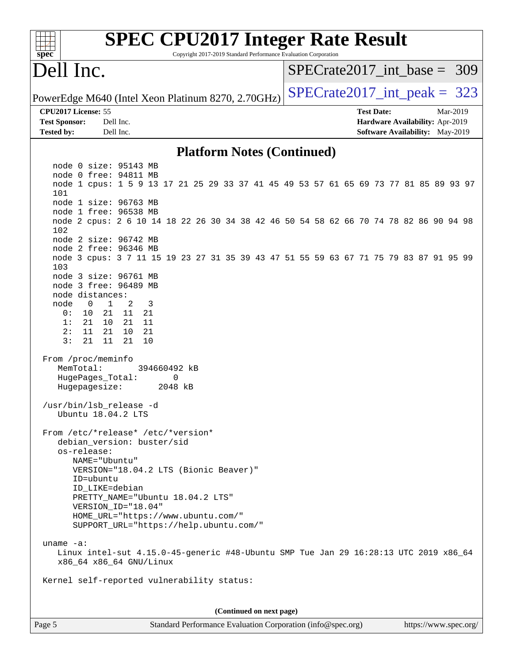| <b>SPEC CPU2017 Integer Rate Result</b><br>spec <sup>®</sup><br>Copyright 2017-2019 Standard Performance Evaluation Corporation |                                 |  |                   |                                 |                       |
|---------------------------------------------------------------------------------------------------------------------------------|---------------------------------|--|-------------------|---------------------------------|-----------------------|
| Dell Inc.                                                                                                                       | $SPECrate2017\_int\_base = 309$ |  |                   |                                 |                       |
| PowerEdge M640 (Intel Xeon Platinum 8270, 2.70GHz)                                                                              | $SPECrate2017\_int\_peak = 323$ |  |                   |                                 |                       |
| CPU2017 License: 55                                                                                                             |                                 |  | <b>Test Date:</b> |                                 | Mar-2019              |
| <b>Test Sponsor:</b><br>Dell Inc.                                                                                               |                                 |  |                   | Hardware Availability: Apr-2019 |                       |
| <b>Tested by:</b><br>Dell Inc.                                                                                                  |                                 |  |                   | Software Availability: May-2019 |                       |
| <b>Platform Notes (Continued)</b>                                                                                               |                                 |  |                   |                                 |                       |
| node 0 size: 95143 MB                                                                                                           |                                 |  |                   |                                 |                       |
| node 0 free: 94811 MB<br>node 1 cpus: 1 5 9 13 17 21 25 29 33 37 41 45 49 53 57 61 65 69 73 77 81 85 89 93 97<br>101            |                                 |  |                   |                                 |                       |
| node 1 size: 96763 MB                                                                                                           |                                 |  |                   |                                 |                       |
| node 1 free: 96538 MB<br>node 2 cpus: 2 6 10 14 18 22 26 30 34 38 42 46 50 54 58 62 66 70 74 78 82 86 90 94 98<br>102           |                                 |  |                   |                                 |                       |
| node 2 size: 96742 MB<br>node 2 free: 96346 MB                                                                                  |                                 |  |                   |                                 |                       |
| node 3 cpus: 3 7 11 15 19 23 27 31 35 39 43 47 51 55 59 63 67 71 75 79 83 87 91 95 99<br>103                                    |                                 |  |                   |                                 |                       |
| node 3 size: 96761 MB                                                                                                           |                                 |  |                   |                                 |                       |
| node 3 free: 96489 MB<br>node distances:                                                                                        |                                 |  |                   |                                 |                       |
| node<br>1<br>2<br>3<br>0                                                                                                        |                                 |  |                   |                                 |                       |
| 0 :<br>10<br>21<br>11<br>21                                                                                                     |                                 |  |                   |                                 |                       |
| 1:<br>21<br>11<br>21<br>10<br>2:<br>11<br>21<br>10<br>21                                                                        |                                 |  |                   |                                 |                       |
| 21<br>3:<br>21<br>11<br>10                                                                                                      |                                 |  |                   |                                 |                       |
| From /proc/meminfo<br>MemTotal:<br>394660492 kB                                                                                 |                                 |  |                   |                                 |                       |
| HugePages_Total:<br>0<br>2048 kB<br>Hugepagesize:                                                                               |                                 |  |                   |                                 |                       |
| /usr/bin/lsb_release -d<br>Ubuntu 18.04.2 LTS                                                                                   |                                 |  |                   |                                 |                       |
| From /etc/*release* /etc/*version*<br>debian_version: buster/sid                                                                |                                 |  |                   |                                 |                       |
| os-release:                                                                                                                     |                                 |  |                   |                                 |                       |
| NAME="Ubuntu"                                                                                                                   |                                 |  |                   |                                 |                       |
| VERSION="18.04.2 LTS (Bionic Beaver)"                                                                                           |                                 |  |                   |                                 |                       |
| ID=ubuntu<br>ID LIKE=debian                                                                                                     |                                 |  |                   |                                 |                       |
| PRETTY_NAME="Ubuntu 18.04.2 LTS"                                                                                                |                                 |  |                   |                                 |                       |
| VERSION ID="18.04"                                                                                                              |                                 |  |                   |                                 |                       |
| HOME_URL="https://www.ubuntu.com/"<br>SUPPORT_URL="https://help.ubuntu.com/"                                                    |                                 |  |                   |                                 |                       |
| uname $-a$ :                                                                                                                    |                                 |  |                   |                                 |                       |
| Linux intel-sut 4.15.0-45-generic #48-Ubuntu SMP Tue Jan 29 16:28:13 UTC 2019 x86_64<br>x86_64 x86_64 GNU/Linux                 |                                 |  |                   |                                 |                       |
| Kernel self-reported vulnerability status:                                                                                      |                                 |  |                   |                                 |                       |
| (Continued on next page)                                                                                                        |                                 |  |                   |                                 |                       |
| Page 5<br>Standard Performance Evaluation Corporation (info@spec.org)                                                           |                                 |  |                   |                                 | https://www.spec.org/ |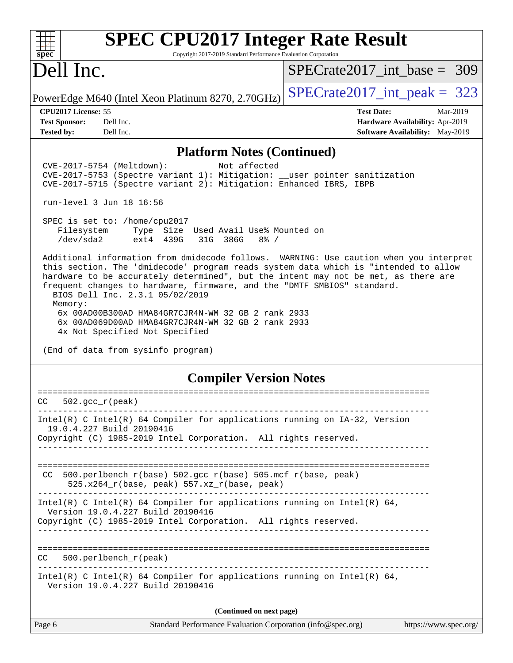| <b>SPEC CPU2017 Integer Rate Result</b><br>Copyright 2017-2019 Standard Performance Evaluation Corporation<br>$spec^*$                                                                                                                                                                                                                                                                                                                                                                                                                                                                                                                                                                                                                                                                                                                                                                                                                                         |                                                                    |
|----------------------------------------------------------------------------------------------------------------------------------------------------------------------------------------------------------------------------------------------------------------------------------------------------------------------------------------------------------------------------------------------------------------------------------------------------------------------------------------------------------------------------------------------------------------------------------------------------------------------------------------------------------------------------------------------------------------------------------------------------------------------------------------------------------------------------------------------------------------------------------------------------------------------------------------------------------------|--------------------------------------------------------------------|
| Dell Inc.                                                                                                                                                                                                                                                                                                                                                                                                                                                                                                                                                                                                                                                                                                                                                                                                                                                                                                                                                      | $SPECrate2017\_int\_base = 309$                                    |
| PowerEdge M640 (Intel Xeon Platinum 8270, 2.70GHz)                                                                                                                                                                                                                                                                                                                                                                                                                                                                                                                                                                                                                                                                                                                                                                                                                                                                                                             | $SPECrate2017\_int\_peak = 323$                                    |
| <b>CPU2017 License: 55</b>                                                                                                                                                                                                                                                                                                                                                                                                                                                                                                                                                                                                                                                                                                                                                                                                                                                                                                                                     | <b>Test Date:</b><br>Mar-2019                                      |
| <b>Test Sponsor:</b><br>Dell Inc.<br>Dell Inc.<br><b>Tested by:</b>                                                                                                                                                                                                                                                                                                                                                                                                                                                                                                                                                                                                                                                                                                                                                                                                                                                                                            | Hardware Availability: Apr-2019<br>Software Availability: May-2019 |
| <b>Platform Notes (Continued)</b>                                                                                                                                                                                                                                                                                                                                                                                                                                                                                                                                                                                                                                                                                                                                                                                                                                                                                                                              |                                                                    |
| Not affected<br>CVE-2017-5754 (Meltdown):<br>CVE-2017-5753 (Spectre variant 1): Mitigation: __user pointer sanitization<br>CVE-2017-5715 (Spectre variant 2): Mitigation: Enhanced IBRS, IBPB<br>run-level 3 Jun 18 16:56<br>SPEC is set to: /home/cpu2017<br>Filesystem<br>Type Size Used Avail Use% Mounted on<br>/dev/sda2<br>ext4 439G<br>31G 386G<br>$8\frac{6}{6}$ /<br>Additional information from dmidecode follows. WARNING: Use caution when you interpret<br>this section. The 'dmidecode' program reads system data which is "intended to allow<br>hardware to be accurately determined", but the intent may not be met, as there are<br>frequent changes to hardware, firmware, and the "DMTF SMBIOS" standard.<br>BIOS Dell Inc. 2.3.1 05/02/2019<br>Memory:<br>6x 00AD00B300AD HMA84GR7CJR4N-WM 32 GB 2 rank 2933<br>6x 00AD069D00AD HMA84GR7CJR4N-WM 32 GB 2 rank 2933<br>4x Not Specified Not Specified<br>(End of data from sysinfo program) |                                                                    |
|                                                                                                                                                                                                                                                                                                                                                                                                                                                                                                                                                                                                                                                                                                                                                                                                                                                                                                                                                                |                                                                    |
| <b>Compiler Version Notes</b>                                                                                                                                                                                                                                                                                                                                                                                                                                                                                                                                                                                                                                                                                                                                                                                                                                                                                                                                  |                                                                    |
| $CC = 502. gcc_r (peak)$                                                                                                                                                                                                                                                                                                                                                                                                                                                                                                                                                                                                                                                                                                                                                                                                                                                                                                                                       |                                                                    |
| Intel(R) C Intel(R) 64 Compiler for applications running on IA-32, Version<br>19.0.4.227 Build 20190416<br>Copyright (C) 1985-2019 Intel Corporation. All rights reserved.                                                                                                                                                                                                                                                                                                                                                                                                                                                                                                                                                                                                                                                                                                                                                                                     |                                                                    |
| 500.perlbench_r(base) 502.gcc_r(base) 505.mcf_r(base, peak)<br>CC.<br>525.x264_r(base, peak) 557.xz_r(base, peak)                                                                                                                                                                                                                                                                                                                                                                                                                                                                                                                                                                                                                                                                                                                                                                                                                                              |                                                                    |
| Intel(R) C Intel(R) 64 Compiler for applications running on Intel(R) 64,                                                                                                                                                                                                                                                                                                                                                                                                                                                                                                                                                                                                                                                                                                                                                                                                                                                                                       |                                                                    |

Version 19.0.4.227 Build 20190416

Copyright (C) 1985-2019 Intel Corporation. All rights reserved. ------------------------------------------------------------------------------

==============================================================================

CC 500.perlbench\_r(peak)

------------------------------------------------------------------------------ Intel(R) C Intel(R) 64 Compiler for applications running on Intel(R)  $64$ , Version 19.0.4.227 Build 20190416

**(Continued on next page)**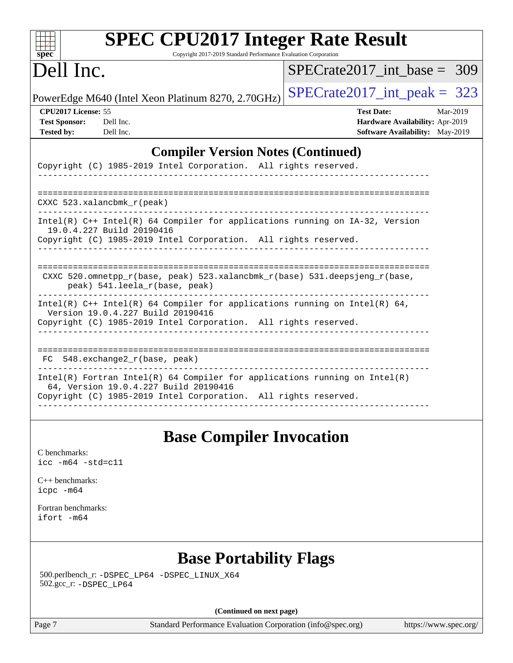| spec <sup>®</sup>                                                | <b>SPEC CPU2017 Integer Rate Result</b><br>Copyright 2017-2019 Standard Performance Evaluation Corporation                                                                               |                                 |                                                                                |
|------------------------------------------------------------------|------------------------------------------------------------------------------------------------------------------------------------------------------------------------------------------|---------------------------------|--------------------------------------------------------------------------------|
| Dell Inc.                                                        |                                                                                                                                                                                          | $SPECrate2017\_int\_base = 309$ |                                                                                |
|                                                                  | PowerEdge M640 (Intel Xeon Platinum 8270, 2.70GHz)                                                                                                                                       | $SPECTate2017\_int\_peak = 323$ |                                                                                |
| CPU2017 License: 55<br><b>Test Sponsor:</b><br><b>Tested by:</b> | Dell Inc.<br>Dell Inc.                                                                                                                                                                   | <b>Test Date:</b>               | Mar-2019<br>Hardware Availability: Apr-2019<br>Software Availability: May-2019 |
|                                                                  | <b>Compiler Version Notes (Continued)</b>                                                                                                                                                |                                 |                                                                                |
|                                                                  | Copyright (C) 1985-2019 Intel Corporation. All rights reserved.                                                                                                                          |                                 |                                                                                |
|                                                                  | CXXC 523.xalancbmk_r(peak)                                                                                                                                                               |                                 |                                                                                |
|                                                                  | Intel(R) C++ Intel(R) 64 Compiler for applications running on IA-32, Version<br>19.0.4.227 Build 20190416                                                                                |                                 |                                                                                |
|                                                                  | Copyright (C) 1985-2019 Intel Corporation. All rights reserved.                                                                                                                          |                                 |                                                                                |
|                                                                  | CXXC 520.omnetpp_r(base, peak) 523.xalancbmk_r(base) 531.deepsjeng_r(base,<br>peak) 541.leela_r(base, peak)<br>----------------------                                                    |                                 |                                                                                |
|                                                                  | Intel(R) $C++$ Intel(R) 64 Compiler for applications running on Intel(R) 64,<br>Version 19.0.4.227 Build 20190416<br>Copyright (C) 1985-2019 Intel Corporation. All rights reserved.     |                                 |                                                                                |
|                                                                  | FC 548.exchange2_r(base, peak)                                                                                                                                                           |                                 |                                                                                |
|                                                                  | $Intel(R)$ Fortran Intel(R) 64 Compiler for applications running on Intel(R)<br>64, Version 19.0.4.227 Build 20190416<br>Copyright (C) 1985-2019 Intel Corporation. All rights reserved. |                                 |                                                                                |
|                                                                  | <b>Base Compiler Invocation</b>                                                                                                                                                          |                                 |                                                                                |
| C benchmarks:<br>$\text{icc}$ -m64 -std=c11                      |                                                                                                                                                                                          |                                 |                                                                                |
| $C_{++}$ benchmarks:<br>icpc -m64                                |                                                                                                                                                                                          |                                 |                                                                                |
| Fortran benchmarks:<br>ifort -m64                                |                                                                                                                                                                                          |                                 |                                                                                |
|                                                                  | <b>Base Portability Flags</b>                                                                                                                                                            |                                 |                                                                                |
| 502.gcc_r: -DSPEC_LP64                                           | 500.perlbench_r: -DSPEC_LP64 -DSPEC_LINUX_X64                                                                                                                                            |                                 |                                                                                |
|                                                                  | (Continued on next page)                                                                                                                                                                 |                                 |                                                                                |
| Page 7                                                           | Standard Performance Evaluation Corporation (info@spec.org)                                                                                                                              |                                 | https://www.spec.org/                                                          |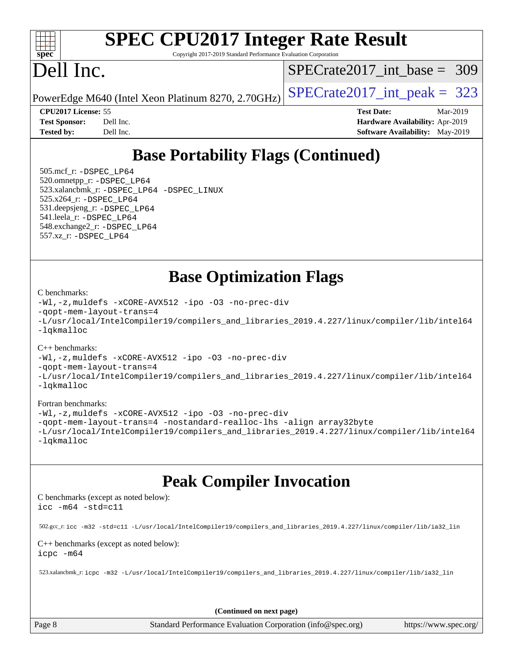

# **[SPEC CPU2017 Integer Rate Result](http://www.spec.org/auto/cpu2017/Docs/result-fields.html#SPECCPU2017IntegerRateResult)**

Copyright 2017-2019 Standard Performance Evaluation Corporation

# Dell Inc.

[SPECrate2017\\_int\\_base =](http://www.spec.org/auto/cpu2017/Docs/result-fields.html#SPECrate2017intbase) 309

PowerEdge M640 (Intel Xeon Platinum 8270, 2.70GHz)  $\left|$  SPECrate 2017 int peak = 323

**[CPU2017 License:](http://www.spec.org/auto/cpu2017/Docs/result-fields.html#CPU2017License)** 55 **[Test Date:](http://www.spec.org/auto/cpu2017/Docs/result-fields.html#TestDate)** Mar-2019 **[Test Sponsor:](http://www.spec.org/auto/cpu2017/Docs/result-fields.html#TestSponsor)** Dell Inc. **[Hardware Availability:](http://www.spec.org/auto/cpu2017/Docs/result-fields.html#HardwareAvailability)** Apr-2019 **[Tested by:](http://www.spec.org/auto/cpu2017/Docs/result-fields.html#Testedby)** Dell Inc. **[Software Availability:](http://www.spec.org/auto/cpu2017/Docs/result-fields.html#SoftwareAvailability)** May-2019

## **[Base Portability Flags \(Continued\)](http://www.spec.org/auto/cpu2017/Docs/result-fields.html#BasePortabilityFlags)**

 505.mcf\_r: [-DSPEC\\_LP64](http://www.spec.org/cpu2017/results/res2019q3/cpu2017-20190708-15958.flags.html#suite_basePORTABILITY505_mcf_r_DSPEC_LP64) 520.omnetpp\_r: [-DSPEC\\_LP64](http://www.spec.org/cpu2017/results/res2019q3/cpu2017-20190708-15958.flags.html#suite_basePORTABILITY520_omnetpp_r_DSPEC_LP64) 523.xalancbmk\_r: [-DSPEC\\_LP64](http://www.spec.org/cpu2017/results/res2019q3/cpu2017-20190708-15958.flags.html#suite_basePORTABILITY523_xalancbmk_r_DSPEC_LP64) [-DSPEC\\_LINUX](http://www.spec.org/cpu2017/results/res2019q3/cpu2017-20190708-15958.flags.html#b523.xalancbmk_r_baseCXXPORTABILITY_DSPEC_LINUX) 525.x264\_r: [-DSPEC\\_LP64](http://www.spec.org/cpu2017/results/res2019q3/cpu2017-20190708-15958.flags.html#suite_basePORTABILITY525_x264_r_DSPEC_LP64) 531.deepsjeng\_r: [-DSPEC\\_LP64](http://www.spec.org/cpu2017/results/res2019q3/cpu2017-20190708-15958.flags.html#suite_basePORTABILITY531_deepsjeng_r_DSPEC_LP64) 541.leela\_r: [-DSPEC\\_LP64](http://www.spec.org/cpu2017/results/res2019q3/cpu2017-20190708-15958.flags.html#suite_basePORTABILITY541_leela_r_DSPEC_LP64) 548.exchange2\_r: [-DSPEC\\_LP64](http://www.spec.org/cpu2017/results/res2019q3/cpu2017-20190708-15958.flags.html#suite_basePORTABILITY548_exchange2_r_DSPEC_LP64) 557.xz\_r: [-DSPEC\\_LP64](http://www.spec.org/cpu2017/results/res2019q3/cpu2017-20190708-15958.flags.html#suite_basePORTABILITY557_xz_r_DSPEC_LP64)

**[Base Optimization Flags](http://www.spec.org/auto/cpu2017/Docs/result-fields.html#BaseOptimizationFlags)**

#### [C benchmarks](http://www.spec.org/auto/cpu2017/Docs/result-fields.html#Cbenchmarks):

[-Wl,-z,muldefs](http://www.spec.org/cpu2017/results/res2019q3/cpu2017-20190708-15958.flags.html#user_CCbase_link_force_multiple1_b4cbdb97b34bdee9ceefcfe54f4c8ea74255f0b02a4b23e853cdb0e18eb4525ac79b5a88067c842dd0ee6996c24547a27a4b99331201badda8798ef8a743f577) [-xCORE-AVX512](http://www.spec.org/cpu2017/results/res2019q3/cpu2017-20190708-15958.flags.html#user_CCbase_f-xCORE-AVX512) [-ipo](http://www.spec.org/cpu2017/results/res2019q3/cpu2017-20190708-15958.flags.html#user_CCbase_f-ipo) [-O3](http://www.spec.org/cpu2017/results/res2019q3/cpu2017-20190708-15958.flags.html#user_CCbase_f-O3) [-no-prec-div](http://www.spec.org/cpu2017/results/res2019q3/cpu2017-20190708-15958.flags.html#user_CCbase_f-no-prec-div) [-qopt-mem-layout-trans=4](http://www.spec.org/cpu2017/results/res2019q3/cpu2017-20190708-15958.flags.html#user_CCbase_f-qopt-mem-layout-trans_fa39e755916c150a61361b7846f310bcdf6f04e385ef281cadf3647acec3f0ae266d1a1d22d972a7087a248fd4e6ca390a3634700869573d231a252c784941a8) [-L/usr/local/IntelCompiler19/compilers\\_and\\_libraries\\_2019.4.227/linux/compiler/lib/intel64](http://www.spec.org/cpu2017/results/res2019q3/cpu2017-20190708-15958.flags.html#user_CCbase_qkmalloc_link_0ffe0cb02c68ef1b443a077c7888c10c67ca0d1dd7138472156f06a085bbad385f78d49618ad55dca9db3b1608e84afc2f69b4003b1d1ca498a9fc1462ccefda) [-lqkmalloc](http://www.spec.org/cpu2017/results/res2019q3/cpu2017-20190708-15958.flags.html#user_CCbase_qkmalloc_link_lib_79a818439969f771c6bc311cfd333c00fc099dad35c030f5aab9dda831713d2015205805422f83de8875488a2991c0a156aaa600e1f9138f8fc37004abc96dc5)

#### [C++ benchmarks](http://www.spec.org/auto/cpu2017/Docs/result-fields.html#CXXbenchmarks):

[-Wl,-z,muldefs](http://www.spec.org/cpu2017/results/res2019q3/cpu2017-20190708-15958.flags.html#user_CXXbase_link_force_multiple1_b4cbdb97b34bdee9ceefcfe54f4c8ea74255f0b02a4b23e853cdb0e18eb4525ac79b5a88067c842dd0ee6996c24547a27a4b99331201badda8798ef8a743f577) [-xCORE-AVX512](http://www.spec.org/cpu2017/results/res2019q3/cpu2017-20190708-15958.flags.html#user_CXXbase_f-xCORE-AVX512) [-ipo](http://www.spec.org/cpu2017/results/res2019q3/cpu2017-20190708-15958.flags.html#user_CXXbase_f-ipo) [-O3](http://www.spec.org/cpu2017/results/res2019q3/cpu2017-20190708-15958.flags.html#user_CXXbase_f-O3) [-no-prec-div](http://www.spec.org/cpu2017/results/res2019q3/cpu2017-20190708-15958.flags.html#user_CXXbase_f-no-prec-div) [-qopt-mem-layout-trans=4](http://www.spec.org/cpu2017/results/res2019q3/cpu2017-20190708-15958.flags.html#user_CXXbase_f-qopt-mem-layout-trans_fa39e755916c150a61361b7846f310bcdf6f04e385ef281cadf3647acec3f0ae266d1a1d22d972a7087a248fd4e6ca390a3634700869573d231a252c784941a8) [-L/usr/local/IntelCompiler19/compilers\\_and\\_libraries\\_2019.4.227/linux/compiler/lib/intel64](http://www.spec.org/cpu2017/results/res2019q3/cpu2017-20190708-15958.flags.html#user_CXXbase_qkmalloc_link_0ffe0cb02c68ef1b443a077c7888c10c67ca0d1dd7138472156f06a085bbad385f78d49618ad55dca9db3b1608e84afc2f69b4003b1d1ca498a9fc1462ccefda) [-lqkmalloc](http://www.spec.org/cpu2017/results/res2019q3/cpu2017-20190708-15958.flags.html#user_CXXbase_qkmalloc_link_lib_79a818439969f771c6bc311cfd333c00fc099dad35c030f5aab9dda831713d2015205805422f83de8875488a2991c0a156aaa600e1f9138f8fc37004abc96dc5)

#### [Fortran benchmarks](http://www.spec.org/auto/cpu2017/Docs/result-fields.html#Fortranbenchmarks):

[-Wl,-z,muldefs](http://www.spec.org/cpu2017/results/res2019q3/cpu2017-20190708-15958.flags.html#user_FCbase_link_force_multiple1_b4cbdb97b34bdee9ceefcfe54f4c8ea74255f0b02a4b23e853cdb0e18eb4525ac79b5a88067c842dd0ee6996c24547a27a4b99331201badda8798ef8a743f577) [-xCORE-AVX512](http://www.spec.org/cpu2017/results/res2019q3/cpu2017-20190708-15958.flags.html#user_FCbase_f-xCORE-AVX512) [-ipo](http://www.spec.org/cpu2017/results/res2019q3/cpu2017-20190708-15958.flags.html#user_FCbase_f-ipo) [-O3](http://www.spec.org/cpu2017/results/res2019q3/cpu2017-20190708-15958.flags.html#user_FCbase_f-O3) [-no-prec-div](http://www.spec.org/cpu2017/results/res2019q3/cpu2017-20190708-15958.flags.html#user_FCbase_f-no-prec-div) [-qopt-mem-layout-trans=4](http://www.spec.org/cpu2017/results/res2019q3/cpu2017-20190708-15958.flags.html#user_FCbase_f-qopt-mem-layout-trans_fa39e755916c150a61361b7846f310bcdf6f04e385ef281cadf3647acec3f0ae266d1a1d22d972a7087a248fd4e6ca390a3634700869573d231a252c784941a8) [-nostandard-realloc-lhs](http://www.spec.org/cpu2017/results/res2019q3/cpu2017-20190708-15958.flags.html#user_FCbase_f_2003_std_realloc_82b4557e90729c0f113870c07e44d33d6f5a304b4f63d4c15d2d0f1fab99f5daaed73bdb9275d9ae411527f28b936061aa8b9c8f2d63842963b95c9dd6426b8a) [-align array32byte](http://www.spec.org/cpu2017/results/res2019q3/cpu2017-20190708-15958.flags.html#user_FCbase_align_array32byte_b982fe038af199962ba9a80c053b8342c548c85b40b8e86eb3cc33dee0d7986a4af373ac2d51c3f7cf710a18d62fdce2948f201cd044323541f22fc0fffc51b6) [-L/usr/local/IntelCompiler19/compilers\\_and\\_libraries\\_2019.4.227/linux/compiler/lib/intel64](http://www.spec.org/cpu2017/results/res2019q3/cpu2017-20190708-15958.flags.html#user_FCbase_qkmalloc_link_0ffe0cb02c68ef1b443a077c7888c10c67ca0d1dd7138472156f06a085bbad385f78d49618ad55dca9db3b1608e84afc2f69b4003b1d1ca498a9fc1462ccefda) [-lqkmalloc](http://www.spec.org/cpu2017/results/res2019q3/cpu2017-20190708-15958.flags.html#user_FCbase_qkmalloc_link_lib_79a818439969f771c6bc311cfd333c00fc099dad35c030f5aab9dda831713d2015205805422f83de8875488a2991c0a156aaa600e1f9138f8fc37004abc96dc5)

## **[Peak Compiler Invocation](http://www.spec.org/auto/cpu2017/Docs/result-fields.html#PeakCompilerInvocation)**

[C benchmarks \(except as noted below\)](http://www.spec.org/auto/cpu2017/Docs/result-fields.html#Cbenchmarksexceptasnotedbelow): [icc -m64 -std=c11](http://www.spec.org/cpu2017/results/res2019q3/cpu2017-20190708-15958.flags.html#user_CCpeak_intel_icc_64bit_c11_33ee0cdaae7deeeab2a9725423ba97205ce30f63b9926c2519791662299b76a0318f32ddfffdc46587804de3178b4f9328c46fa7c2b0cd779d7a61945c91cd35)

502.gcc\_r: [icc -m32 -std=c11 -L/usr/local/IntelCompiler19/compilers\\_and\\_libraries\\_2019.4.227/linux/compiler/lib/ia32\\_lin](http://www.spec.org/cpu2017/results/res2019q3/cpu2017-20190708-15958.flags.html#user_peakCCLD502_gcc_r_intel_icc_38a193a897536fa645efb1dc6ac2bea2bddbbe56f130e144a606d1b2649003f27c79f8814020c1f9355cbbf0d7ab0d194a7a979ee1e2a95641bbb8cf571aac7b)

[C++ benchmarks \(except as noted below\)](http://www.spec.org/auto/cpu2017/Docs/result-fields.html#CXXbenchmarksexceptasnotedbelow): [icpc -m64](http://www.spec.org/cpu2017/results/res2019q3/cpu2017-20190708-15958.flags.html#user_CXXpeak_intel_icpc_64bit_4ecb2543ae3f1412ef961e0650ca070fec7b7afdcd6ed48761b84423119d1bf6bdf5cad15b44d48e7256388bc77273b966e5eb805aefd121eb22e9299b2ec9d9)

523.xalancbmk\_r: [icpc -m32 -L/usr/local/IntelCompiler19/compilers\\_and\\_libraries\\_2019.4.227/linux/compiler/lib/ia32\\_lin](http://www.spec.org/cpu2017/results/res2019q3/cpu2017-20190708-15958.flags.html#user_peakCXXLD523_xalancbmk_r_intel_icpc_840f965b38320ad10acba6032d6ca4c816e722c432c250f3408feae347068ba449f694544a48cf12cd3bde3495e328e6747ab0f629c2925d3062e2ee144af951)

**(Continued on next page)**

Page 8 Standard Performance Evaluation Corporation [\(info@spec.org\)](mailto:info@spec.org) <https://www.spec.org/>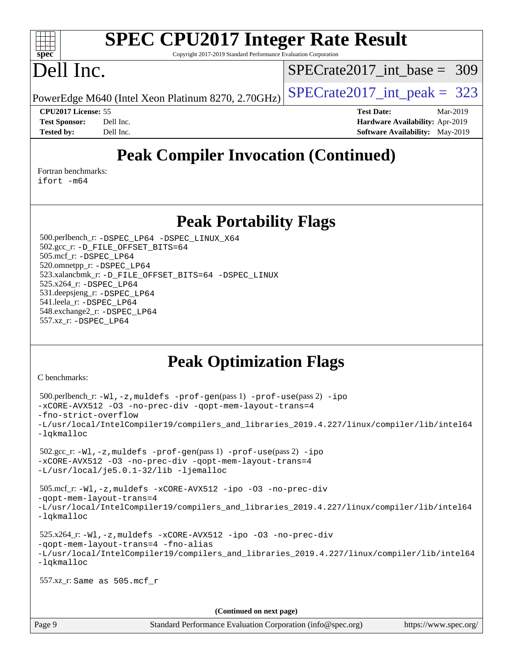#### $\pm t$ **[spec](http://www.spec.org/)**

# **[SPEC CPU2017 Integer Rate Result](http://www.spec.org/auto/cpu2017/Docs/result-fields.html#SPECCPU2017IntegerRateResult)**

Copyright 2017-2019 Standard Performance Evaluation Corporation

## Dell Inc.

[SPECrate2017\\_int\\_base =](http://www.spec.org/auto/cpu2017/Docs/result-fields.html#SPECrate2017intbase) 309

PowerEdge M640 (Intel Xeon Platinum 8270, 2.70GHz)  $\left|$  [SPECrate2017\\_int\\_peak =](http://www.spec.org/auto/cpu2017/Docs/result-fields.html#SPECrate2017intpeak) 323

**[CPU2017 License:](http://www.spec.org/auto/cpu2017/Docs/result-fields.html#CPU2017License)** 55 **[Test Date:](http://www.spec.org/auto/cpu2017/Docs/result-fields.html#TestDate)** Mar-2019 **[Test Sponsor:](http://www.spec.org/auto/cpu2017/Docs/result-fields.html#TestSponsor)** Dell Inc. **[Hardware Availability:](http://www.spec.org/auto/cpu2017/Docs/result-fields.html#HardwareAvailability)** Apr-2019 **[Tested by:](http://www.spec.org/auto/cpu2017/Docs/result-fields.html#Testedby)** Dell Inc. Dell Inc. **[Software Availability:](http://www.spec.org/auto/cpu2017/Docs/result-fields.html#SoftwareAvailability)** May-2019

## **[Peak Compiler Invocation \(Continued\)](http://www.spec.org/auto/cpu2017/Docs/result-fields.html#PeakCompilerInvocation)**

[Fortran benchmarks](http://www.spec.org/auto/cpu2017/Docs/result-fields.html#Fortranbenchmarks): [ifort -m64](http://www.spec.org/cpu2017/results/res2019q3/cpu2017-20190708-15958.flags.html#user_FCpeak_intel_ifort_64bit_24f2bb282fbaeffd6157abe4f878425411749daecae9a33200eee2bee2fe76f3b89351d69a8130dd5949958ce389cf37ff59a95e7a40d588e8d3a57e0c3fd751)

## **[Peak Portability Flags](http://www.spec.org/auto/cpu2017/Docs/result-fields.html#PeakPortabilityFlags)**

 500.perlbench\_r: [-DSPEC\\_LP64](http://www.spec.org/cpu2017/results/res2019q3/cpu2017-20190708-15958.flags.html#b500.perlbench_r_peakPORTABILITY_DSPEC_LP64) [-DSPEC\\_LINUX\\_X64](http://www.spec.org/cpu2017/results/res2019q3/cpu2017-20190708-15958.flags.html#b500.perlbench_r_peakCPORTABILITY_DSPEC_LINUX_X64) 502.gcc\_r: [-D\\_FILE\\_OFFSET\\_BITS=64](http://www.spec.org/cpu2017/results/res2019q3/cpu2017-20190708-15958.flags.html#user_peakPORTABILITY502_gcc_r_file_offset_bits_64_5ae949a99b284ddf4e95728d47cb0843d81b2eb0e18bdfe74bbf0f61d0b064f4bda2f10ea5eb90e1dcab0e84dbc592acfc5018bc955c18609f94ddb8d550002c) 505.mcf\_r: [-DSPEC\\_LP64](http://www.spec.org/cpu2017/results/res2019q3/cpu2017-20190708-15958.flags.html#suite_peakPORTABILITY505_mcf_r_DSPEC_LP64) 520.omnetpp\_r: [-DSPEC\\_LP64](http://www.spec.org/cpu2017/results/res2019q3/cpu2017-20190708-15958.flags.html#suite_peakPORTABILITY520_omnetpp_r_DSPEC_LP64) 523.xalancbmk\_r: [-D\\_FILE\\_OFFSET\\_BITS=64](http://www.spec.org/cpu2017/results/res2019q3/cpu2017-20190708-15958.flags.html#user_peakPORTABILITY523_xalancbmk_r_file_offset_bits_64_5ae949a99b284ddf4e95728d47cb0843d81b2eb0e18bdfe74bbf0f61d0b064f4bda2f10ea5eb90e1dcab0e84dbc592acfc5018bc955c18609f94ddb8d550002c) [-DSPEC\\_LINUX](http://www.spec.org/cpu2017/results/res2019q3/cpu2017-20190708-15958.flags.html#b523.xalancbmk_r_peakCXXPORTABILITY_DSPEC_LINUX) 525.x264\_r: [-DSPEC\\_LP64](http://www.spec.org/cpu2017/results/res2019q3/cpu2017-20190708-15958.flags.html#suite_peakPORTABILITY525_x264_r_DSPEC_LP64) 531.deepsjeng\_r: [-DSPEC\\_LP64](http://www.spec.org/cpu2017/results/res2019q3/cpu2017-20190708-15958.flags.html#suite_peakPORTABILITY531_deepsjeng_r_DSPEC_LP64) 541.leela\_r: [-DSPEC\\_LP64](http://www.spec.org/cpu2017/results/res2019q3/cpu2017-20190708-15958.flags.html#suite_peakPORTABILITY541_leela_r_DSPEC_LP64) 548.exchange2\_r: [-DSPEC\\_LP64](http://www.spec.org/cpu2017/results/res2019q3/cpu2017-20190708-15958.flags.html#suite_peakPORTABILITY548_exchange2_r_DSPEC_LP64) 557.xz\_r: [-DSPEC\\_LP64](http://www.spec.org/cpu2017/results/res2019q3/cpu2017-20190708-15958.flags.html#suite_peakPORTABILITY557_xz_r_DSPEC_LP64)

## **[Peak Optimization Flags](http://www.spec.org/auto/cpu2017/Docs/result-fields.html#PeakOptimizationFlags)**

[C benchmarks](http://www.spec.org/auto/cpu2017/Docs/result-fields.html#Cbenchmarks):

```
(info@spec.org)https://www.spec.org/
  500.perlbench_r: -Wl,-z,muldefs -prof-gen(pass 1) -prof-use(pass 2) -ipo
-xCORE-AVX512 -O3 -no-prec-div -qopt-mem-layout-trans=4
-fno-strict-overflow
-L/usr/local/IntelCompiler19/compilers_and_libraries_2019.4.227/linux/compiler/lib/intel64
-lqkmalloc
  502.gcc_r: -Wl,-z,muldefs -prof-gen(pass 1) -prof-use(pass 2) -ipo
-xCORE-AVX512 -O3 -no-prec-div -qopt-mem-layout-trans=4
-L/usr/local/je5.0.1-32/lib -ljemalloc
  505.mcf_r: -Wl,-z,muldefs -xCORE-AVX512 -ipo -O3 -no-prec-div
-qopt-mem-layout-trans=4
-L/usr/local/IntelCompiler19/compilers_and_libraries_2019.4.227/linux/compiler/lib/intel64
-lqkmalloc
  525.x264_r: -Wl,-z,muldefs -xCORE-AVX512 -ipo -O3 -no-prec-div
-qopt-mem-layout-trans=4 -fno-alias
-L/usr/local/IntelCompiler19/compilers_and_libraries_2019.4.227/linux/compiler/lib/intel64
-lqkmalloc
  557.xz_r: Same as 505.mcf_r
                                    (Continued on next page)
```